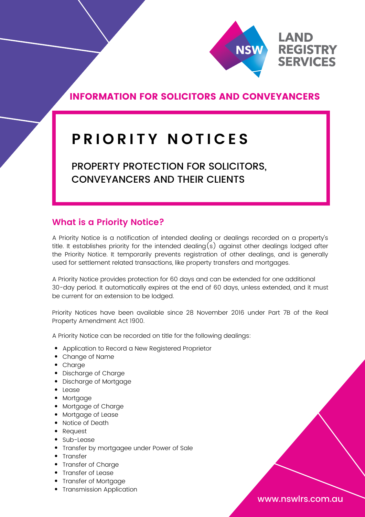

# INFORMATION FOR SOLICITORS AND CONVEYANCERS

# **P R I O R I T Y N O T I C E S**

PROPERTY PROTECTION FOR SOLICITORS, CONVEYANCERS AND THEIR CLIENTS

# **What is a Priority Notice?**

A Priority Notice is a notification of intended dealing or dealings recorded on a property's title. It establishes priority for the intended dealing(s) against other dealings lodged after the Priority Notice. It temporarily prevents registration of other dealings, and is generally used for settlement related transactions, like property transfers and mortgages.

A Priority Notice provides protection for 60 days and can be extended for one additional 30-day period. It automatically expires at the end of 60 days, unless extended, and it must be current for an extension to be lodged.

Priority Notices have been available since 28 November 2016 under Part 7B of the Real Property Amendment Act 1900.

A Priority Notice can be recorded on title for the following dealings:

- Application to Record a New Registered Proprietor
- Change of Name
- Charge
- Discharge of Charge
- Discharge of Mortgage
- Lease
- Mortgage
- Mortgage of Charge
- Mortgage of Lease
- Notice of Death
- Request
- Sub-Lease
- Transfer by mortgagee under Power of Sale
- Transfer
- Transfer of Charge
- Transfer of Lease
- Transfer of Mortgage
- Transmission Application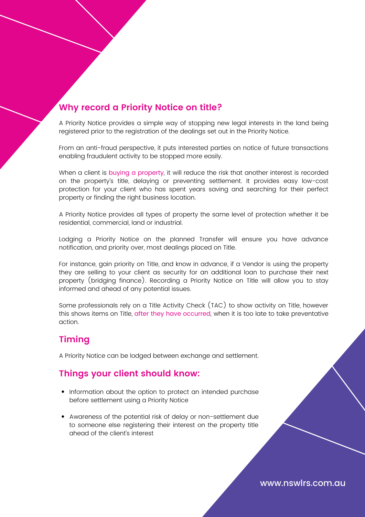# **Why record a Priority Notice on title?**

A Priority Notice provides a simple way of stopping new legal interests in the land being registered prior to the registration of the dealings set out in the Priority Notice.

From an anti-fraud perspective, it puts interested parties on notice of future transactions enabling fraudulent activity to be stopped more easily.

When a client is buying a property, it will reduce the risk that another interest is recorded on the property's title, delaying or preventing settlement. It provides easy low-cost protection for your client who has spent years saving and searching for their perfect property or finding the right business location.

A Priority Notice provides all types of property the same level of protection whether it be residential, commercial, land or industrial.

Lodging a Priority Notice on the planned Transfer will ensure you have advance notification, and priority over, most dealings placed on Title.

For instance, gain priority on Title, and know in advance, if a Vendor is using the property they are selling to your client as security for an additional loan to purchase their next property (bridging finance). Recording a Priority Notice on Title will allow you to stay informed and ahead of any potential issues.

Some professionals rely on a Title Activity Check (TAC) to show activity on Title, however this shows items on Title, after they have occurred, when it is too late to take preventative action.

# **Timing**

A Priority Notice can be lodged between exchange and settlement.

### **Things your client should know:**

- Information about the option to protect an intended purchase before settlement using a Priority Notice
- Awareness of the potential risk of delay or non-settlement due to someone else registering their interest on the property title ahead of the client's interest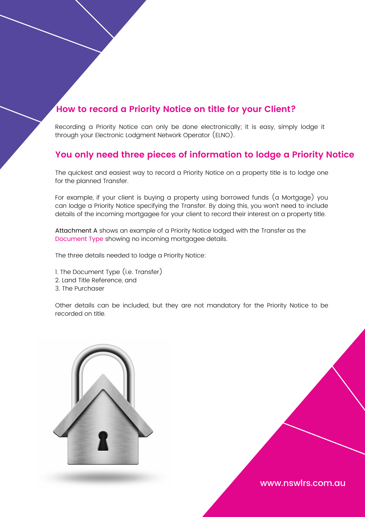# **How to record a Priority Notice on title for your Client?**

Recording a Priority Notice can only be done electronically; it is easy, simply lodge it through your Electronic Lodgment Network Operator (ELNO).

## **You only need three pieces of information to lodge a Priority Notice**

The quickest and easiest way to record a Priority Notice on a property title is to lodge one for the planned Transfer.

For example, if your client is buying a property using borrowed funds (a Mortgage) you can lodge a Priority Notice specifying the Transfer. By doing this, you won't need to include details of the incoming mortgagee for your client to record their interest on a property title.

Attachment A shows an example of a Priority Notice lodged with the Transfer as the Document Type showing no incoming mortgagee details.

The three details needed to lodge a Priority Notice:

- 1. The Document Type (i.e. Transfer)
- 2. Land Title Reference, and
- 3. The Purchaser

Other details can be included, but they are not mandatory for the Priority Notice to be recorded on title.

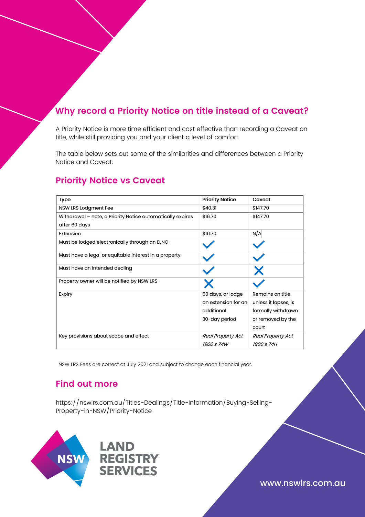# **Why record a Priority Notice on title instead of a Caveat?**

A Priority Notice is more time efficient and cost effective than recording a Caveat on title, while still providing you and your client a level of comfort.

The table below sets out some of the similarities and differences between a Priority Notice and Caveat.

### **Priority Notice vs Caveat**

| <b>Type</b>                                                | <b>Priority Notice</b>   | Caveat                   |
|------------------------------------------------------------|--------------------------|--------------------------|
| NSW LRS Lodgment Fee                                       | \$40.31                  | \$147.70                 |
| Withdrawal - note, a Priority Notice automatically expires | \$16.70                  | \$147.70                 |
| after 60 days                                              |                          |                          |
| Extension                                                  | \$16.70                  | N/A                      |
| Must be lodged electronically through an ELNO              |                          |                          |
| Must have a legal or equitable interest in a property      |                          |                          |
| Must have an intended dealing                              |                          |                          |
| Property owner will be notified by NSW LRS                 |                          |                          |
| Expiry                                                     | 60 days, or lodge        | Remains on title         |
|                                                            | an extension for an      | unless it lapses, is     |
|                                                            | additional               | formally withdrawn       |
|                                                            | 30-day period            | or removed by the        |
|                                                            |                          | court                    |
| Key provisions about scope and effect                      | <b>Real Property Act</b> | <b>Real Property Act</b> |
|                                                            | <i>1900 s 74W</i>        | <i>1900 s 74H</i>        |

NSW LRS Fees are correct at July 2021 and subject to change each financial year.

### **Find out more**

https://nswlrs.com.au/Titles-Dealings/Title-Information/Buying-Selling-Property-in-NSW/Priority-Notice